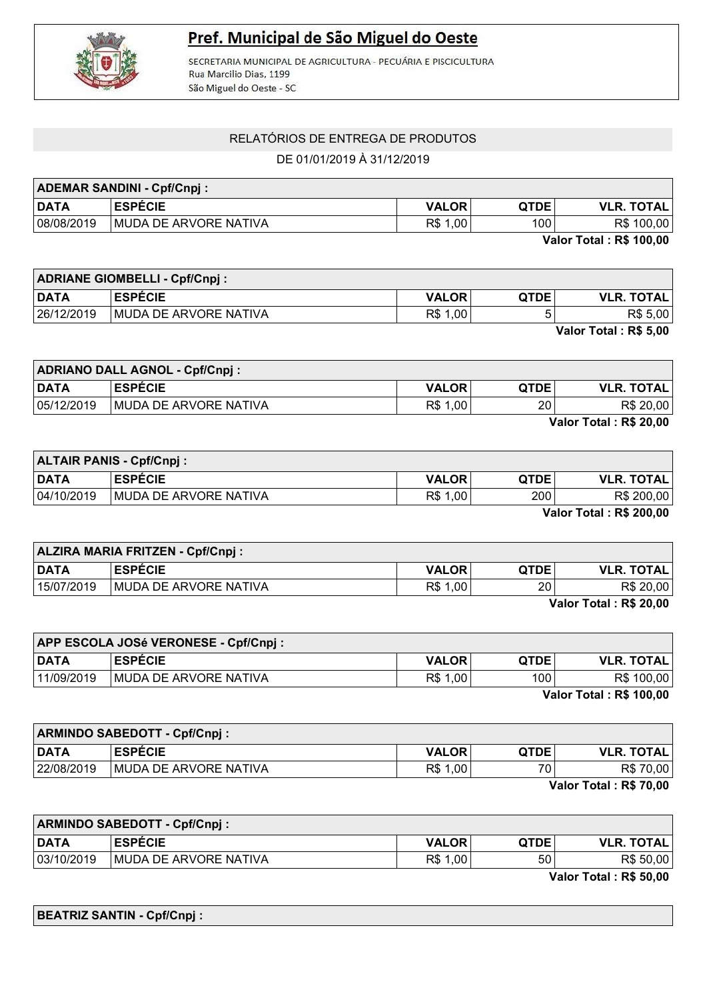

## Pref. Municipal de São Miguel do Oeste

SECRETARIA MUNICIPAL DE AGRICULTURA - PECUÁRIA E PISCICULTURA Rua Marcilio Dias, 1199 São Miguel do Oeste - SC

## RELATÓRIOS DE ENTREGA DE PRODUTOS

DE 01/01/2019 À 31/12/2019

| <b>ADEMAR SANDINI - Cpf/Cnpj:</b>        |                               |              |             |                   |
|------------------------------------------|-------------------------------|--------------|-------------|-------------------|
| <b>DATA</b>                              | <b>ESPECIE</b>                | <b>VALOR</b> | <b>OTDE</b> | <b>VLR. TOTAL</b> |
| 08/08/2019                               | <b>IMUDA DE ARVORE NATIVA</b> | R\$ 1,00     | 100         | R\$ 100,00        |
| $V_{\rm eff} = 7.4 - 1.0$ Decay $\alpha$ |                               |              |             |                   |

Valor Total : R\$ 100,00

|             | <b>ADRIANE GIOMBELLI - Cpf/Cnpj:</b> |              |             |                       |
|-------------|--------------------------------------|--------------|-------------|-----------------------|
| <b>DATA</b> | <b>LESPÉCIE</b>                      | <b>VALOR</b> | <b>QTDE</b> | <b>VLR. TOTAL</b>     |
| 26/12/2019  | <b>IMUDA DE ARVORE NATIVA</b>        | R\$ 1,00     |             | R\$ 5,00              |
|             |                                      |              |             | Valor Total: R\$ 5,00 |

| <b>ADRIANO DALL AGNOL - Cpf/Cnpj:</b> |                               |              |             |                   |
|---------------------------------------|-------------------------------|--------------|-------------|-------------------|
| DATA                                  | <b>ESPÉCIE</b>                | <b>VALOR</b> | <b>QTDE</b> | <b>VLR. TOTAL</b> |
| 05/12/2019                            | <b>IMUDA DE ARVORE NATIVA</b> | R\$ 1,00     | 20          | R\$ 20,00         |
| Volor Total . De 20.00                |                               |              |             |                   |

Valor Total : R\$ 20,00

| <b>ALTAIR PANIS - Cpf/Cnpj:</b> |                               |              |             |                   |
|---------------------------------|-------------------------------|--------------|-------------|-------------------|
| <b>DATA</b>                     | <b>ESPECIE</b>                | <b>VALOR</b> | <b>QTDE</b> | <b>VLR. TOTAL</b> |
| 04/10/2019                      | <b>IMUDA DE ARVORE NATIVA</b> | R\$ 1,00     | 200         | R\$ 200,00        |
| Volor Total - DC 200.00         |                               |              |             |                   |

Valor Total : R\$ 200,00

| <b>ALZIRA MARIA FRITZEN - Cpf/Cnpj:</b> |                               |              |             |                   |
|-----------------------------------------|-------------------------------|--------------|-------------|-------------------|
| <b>DATA</b>                             | <b>ESPECIE</b>                | <b>VALOR</b> | <b>QTDE</b> | <b>VLR. TOTAL</b> |
| 15/07/2019                              | <b>IMUDA DE ARVORE NATIVA</b> | R\$ 1,00     | 20          | R\$ 20,00         |
| $V_{\text{max}}$ Tatal . De on an       |                               |              |             |                   |

Valor Total : R\$ 20,00

|                                | <b>APP ESCOLA JOSé VERONESE - Cpf/Cnpj:</b> |              |             |                   |
|--------------------------------|---------------------------------------------|--------------|-------------|-------------------|
| <b>DATA</b>                    | <b>ESPECIE</b>                              | <b>VALOR</b> | <b>QTDE</b> | <b>VLR. TOTAL</b> |
| 11/09/2019                     | MUDA DE ARVORE NATIVA                       | R\$ 1,00     | 100         | R\$ 100,00        |
| <b>Valor Total: R\$ 100,00</b> |                                             |              |             |                   |

| <b>ARMINDO SABEDOTT - Cpf/Cnpj:</b>                       |                               |              |                 |                   |
|-----------------------------------------------------------|-------------------------------|--------------|-----------------|-------------------|
| <b>DATA</b>                                               | <b>ESPECIE</b>                | <b>VALOR</b> | <b>QTDE</b>     | <b>VLR. TOTAL</b> |
| 22/08/2019                                                | <b>IMUDA DE ARVORE NATIVA</b> | R\$ 1,00     | 70 <sub>1</sub> | R\$ 70,00         |
| $M_{\odot}$ $\sim$ T $\sim$ $L_{\odot}$ $\sim$ Dec 70.00. |                               |              |                 |                   |

Valor Total : R\$ 70,00

| <b>ARMINDO SABEDOTT - Cpf/Cnpj:</b> |                               |              |             |                   |
|-------------------------------------|-------------------------------|--------------|-------------|-------------------|
| <b>DATA</b>                         | <b>ESPÉCIE</b>                | <b>VALOR</b> | <b>QTDE</b> | <b>VLR. TOTAL</b> |
| 03/10/2019                          | <b>IMUDA DE ARVORE NATIVA</b> | R\$ 1,00     | 50          | R\$ 50,00         |
| $       -$                          |                               |              |             |                   |

Valor Total : R\$ 50,00

BEATRIZ SANTIN - Cpf/Cnpj :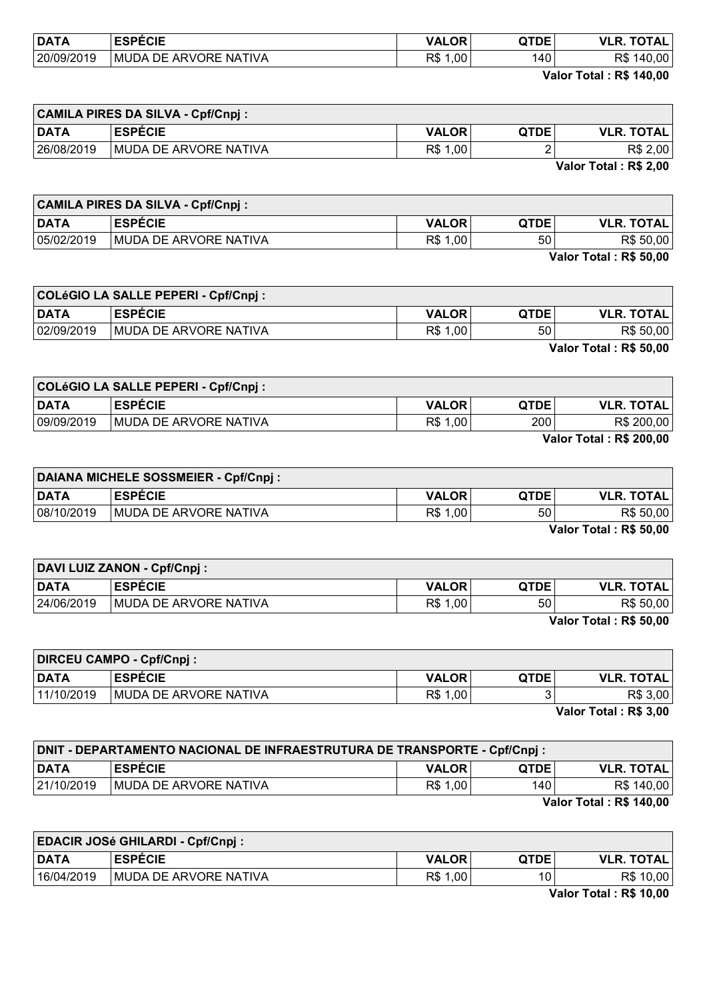| <b>DATA</b> | <b>ESPÉCIE</b>                               | <b>VALOR</b> | QTDE | <b>OTAL</b><br>VI R<br>π. |
|-------------|----------------------------------------------|--------------|------|---------------------------|
| 20/09/2019  | <b>NATIVA</b><br>MUDA<br><b>ARVORE</b><br>7F | R\$<br>00,   | 140  | R\$<br>140.00             |
|             |                                              |              | ---- | ________<br>____          |

Valor Total : R\$ 140,00

| <b>CAMILA PIRES DA SILVA - Cpf/Cnpj:</b> |                        |              |             |                   |
|------------------------------------------|------------------------|--------------|-------------|-------------------|
| <b>DATA</b>                              | <b>ESPÉCIE</b>         | <b>VALOR</b> | <b>QTDE</b> | <b>VLR. TOTAL</b> |
| 26/08/2019                               | IMUDA DE ARVORE NATIVA | R\$ 1,00     |             | R\$ 2,00          |
| Valer Tatal . DC 2.00                    |                        |              |             |                   |

Valor Total : R\$ 2,00

|                        | <b>CAMILA PIRES DA SILVA - Cpf/Cnpj:</b> |              |             |                   |
|------------------------|------------------------------------------|--------------|-------------|-------------------|
| <b>DATA</b>            | <b>ESPÉCIE</b>                           | <b>VALOR</b> | <b>QTDE</b> | <b>VLR. TOTAL</b> |
| 05/02/2019             | <b>IMUDA DE ARVORE NATIVA</b>            | R\$ 1,00     | 50          | R\$ 50,00         |
| Volor Total + DC EQ 00 |                                          |              |             |                   |

| Valor Total: R\$ 50,00 |  |  |  |  |
|------------------------|--|--|--|--|
|------------------------|--|--|--|--|

| COLéGIO LA SALLE PEPERI - Cpf/Cnpj : |                       |              |                 |                   |
|--------------------------------------|-----------------------|--------------|-----------------|-------------------|
| <b>DATA</b>                          | <b>ESPECIE</b>        | <b>VALOR</b> | <b>QTDE</b>     | <b>VLR. TOTAL</b> |
| 02/09/2019                           | MUDA DE ARVORE NATIVA | R\$ 1,00     | 50 <sup>°</sup> | R\$ 50,00         |
| Valor Total: R\$ 50,00               |                       |              |                 |                   |

COLéGIO LA SALLE PEPERI - Cpf/Cnpj : DATA ESPÉCIE VALOR QTDE VLR. TOTAL 09/09/2019 MUDA DE ARVORE NATIVA  $\begin{array}{|c|c|c|c|c|c|}\n\hline\n09/09/2019 & 0 & 0 & \text{R$} & 200,00 \\
\hline\n\end{array}$ 

Valor Total : R\$ 200,00

| DAIANA MICHELE SOSSMEIER - Cpf/Cnpj : |                               |              |             |                   |
|---------------------------------------|-------------------------------|--------------|-------------|-------------------|
| <b>DATA</b>                           | <b>ESPÉCIE</b>                | <b>VALOR</b> | <b>QTDE</b> | <b>VLR. TOTAL</b> |
| 08/10/2019                            | <b>IMUDA DE ARVORE NATIVA</b> | R\$ 1,00     | 50          | R\$ 50,00         |
| $\overline{V}$                        |                               |              |             |                   |

Valor Total : R\$ 50,00

| <b>DAVI LUIZ ZANON - Cpf/Cnpj:</b> |                               |              |             |                        |
|------------------------------------|-------------------------------|--------------|-------------|------------------------|
| <b>DATA</b>                        | <b>ESPECIE</b>                | <b>VALOR</b> | <b>QTDE</b> | <b>VLR. TOTAL</b>      |
| 24/06/2019                         | <b>IMUDA DE ARVORE NATIVA</b> | R\$ 1,00     | 50          | R\$ 50,00              |
|                                    |                               |              |             | Valor Total . DC EQ 00 |

Valor Total : R\$ 50,00

 $\overline{\phantom{0}}$ 

| <b>DIRCEU CAMPO - Cpf/Cnpj:</b> |                               |              |             |                                     |
|---------------------------------|-------------------------------|--------------|-------------|-------------------------------------|
| <b>DATA</b>                     | <b>ESPÉCIE</b>                | <b>VALOR</b> | <b>QTDE</b> | <b>VLR. TOTAL</b>                   |
| 11/10/2019                      | <b>IMUDA DE ARVORE NATIVA</b> | R\$ 1,00     |             | R\$ 3,00                            |
|                                 |                               |              |             | $\cdots$ $\cdots$ $\cdots$ $\cdots$ |

Valor Total : R\$ 3,00

| <b>DNIT - DEPARTAMENTO NACIONAL DE INFRAESTRUTURA DE TRANSPORTE - Cpf/Cnpj :</b> |                               |              |             |                   |
|----------------------------------------------------------------------------------|-------------------------------|--------------|-------------|-------------------|
| <b>DATA</b>                                                                      | <b>ESPÉCIE</b>                | <b>VALOR</b> | <b>OTDE</b> | <b>VLR. TOTAL</b> |
| 21/10/2019                                                                       | <b>IMUDA DE ARVORE NATIVA</b> | R\$ 1,00     | 140         | R\$ 140,00        |
| Volor Total . DC 440.00                                                          |                               |              |             |                   |

Valor Total : R\$ 140,00

| <b>EDACIR JOSé GHILARDI - Cpf/Cnpj:</b> |                       |              |             |                   |
|-----------------------------------------|-----------------------|--------------|-------------|-------------------|
| <b>DATA</b>                             | <b>ESPECIE</b>        | <b>VALOR</b> | <b>QTDE</b> | <b>VLR. TOTAL</b> |
| 16/04/2019                              | MUDA DE ARVORE NATIVA | R\$ 1,00     | 10          | R\$ 10,00         |

Valor Total : R\$ 10,00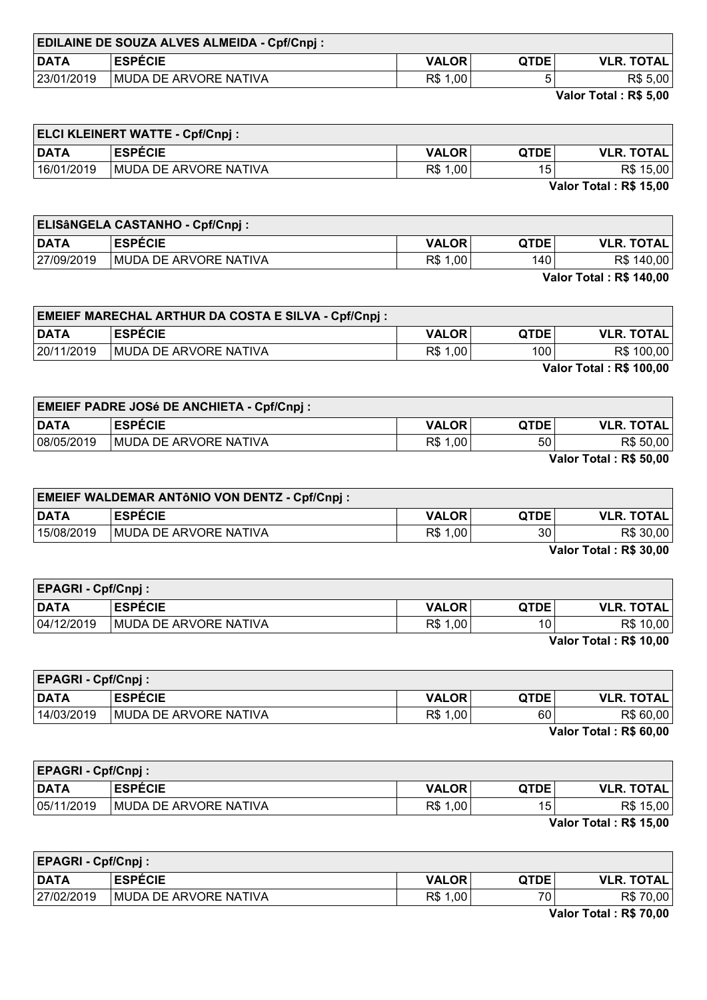| <b>EDILAINE DE SOUZA ALVES ALMEIDA - Cpf/Cnpj :</b> |                        |              |             |                   |
|-----------------------------------------------------|------------------------|--------------|-------------|-------------------|
| DATA                                                | <b>ESPECIE</b>         | <b>VALOR</b> | <b>OTDE</b> | <b>VLR. TOTAL</b> |
| 23/01/2019                                          | IMUDA DE ARVORE NATIVA | R\$ 1,00     |             | R\$ 5,00          |

Valor Total : R\$ 5,00

| <b>ELCI KLEINERT WATTE - Cpf/Cnpj:</b> |                        |              |                 |                       |
|----------------------------------------|------------------------|--------------|-----------------|-----------------------|
| DATA                                   | <b>ESPECIE</b>         | <b>VALOR</b> | <b>QTDE</b>     | <b>VLR. TOTAL</b>     |
| 16/01/2019                             | IMUDA DE ARVORE NATIVA | R\$ 1,00     | 15 <sub>1</sub> | R\$ 15,00             |
|                                        |                        |              |                 | .         .   .     _ |

Valor Total : R\$ 15,00

| <b>ELISÂNGELA CASTANHO - Cpf/Cnpj :</b> |                       |              |             |                   |
|-----------------------------------------|-----------------------|--------------|-------------|-------------------|
| <b>DATA</b>                             | <b>ESPECIE</b>        | <b>VALOR</b> | <b>QTDE</b> | <b>VLR. TOTAL</b> |
| 27/09/2019                              | MUDA DE ARVORE NATIVA | R\$ 1,00     | 140         | R\$ 140,00        |
| <b>Valor Total: R\$ 140,00</b>          |                       |              |             |                   |

| <b>EMEIEF MARECHAL ARTHUR DA COSTA E SILVA - Cpf/Cnpj :</b> |                       |              |                  |                   |
|-------------------------------------------------------------|-----------------------|--------------|------------------|-------------------|
| <b>DATA</b>                                                 | <b>ESPECIE</b>        | <b>VALOR</b> | <b>QTDE</b>      | <b>VLR. TOTAL</b> |
| 20/11/2019                                                  | MUDA DE ARVORE NATIVA | R\$ 1,00     | 100 <sub>1</sub> | R\$ 100,00        |
| <b>Valor Total: R\$ 100,00</b>                              |                       |              |                  |                   |

| <b>EMEIEF PADRE JOSé DE ANCHIETA - Cpf/Cnpj :</b> |                               |              |             |                   |
|---------------------------------------------------|-------------------------------|--------------|-------------|-------------------|
| <b>DATA</b>                                       | <b>ESPECIE</b>                | <b>VALOR</b> | <b>QTDE</b> | <b>VLR. TOTAL</b> |
| 08/05/2019                                        | <b>IMUDA DE ARVORE NATIVA</b> | R\$ 1,00     | 50          | R\$ 50,00         |
|                                                   |                               |              |             | ------            |

Valor Total : R\$ 50,00

 $\overline{\phantom{0}}$ 

| <b>EMEIEF WALDEMAR ANTÔNIO VON DENTZ - Cpf/Cnpj :</b> |                               |              |             |                   |
|-------------------------------------------------------|-------------------------------|--------------|-------------|-------------------|
| <b>DATA</b>                                           | <b>ESPÉCIE</b>                | <b>VALOR</b> | <b>OTDE</b> | <b>VLR. TOTAL</b> |
| 15/08/2019                                            | <b>IMUDA DE ARVORE NATIVA</b> | R\$ 1,00     | 30          | R\$ 30,00         |
| Volor Total + DC 20 00                                |                               |              |             |                   |

Valor Total : R\$ 30,00

| <b>EPAGRI - Cpf/Cnpj:</b> |                               |              |             |                                                           |
|---------------------------|-------------------------------|--------------|-------------|-----------------------------------------------------------|
| <b>DATA</b>               | <b>ESPECIE</b>                | <b>VALOR</b> | <b>QTDE</b> | <b>VLR. TOTAL</b>                                         |
| 04/12/2019                | <b>IMUDA DE ARVORE NATIVA</b> | R\$ 1,00     | 10          | R\$ 10,00                                                 |
|                           |                               |              |             | $M_{\odot}$ $\sim$ T $\sim$ $L_{\odot}$ $\sim$ Dec 40.00. |

Valor Total : R\$ 10,00

| <b>EPAGRI - Cpf/Cnpj:</b> |                               |              |             |                          |
|---------------------------|-------------------------------|--------------|-------------|--------------------------|
| <b>DATA</b>               | <b>ESPECIE</b>                | <b>VALOR</b> | <b>QTDE</b> | <b>VLR. TOTAL</b>        |
| 14/03/2019                | <b>IMUDA DE ARVORE NATIVA</b> | R\$ 1,00     | 60          | R\$ 60,00                |
|                           |                               |              |             | $-1 - 1 - 1$<br>___<br>. |

 $\mathbf{r}$ 

Valor Total : R\$ 60,00

| <b>EPAGRI - Cpf/Cnpj:</b> |                               |              |             |                        |
|---------------------------|-------------------------------|--------------|-------------|------------------------|
| <b>DATA</b>               | <b>ESPÉCIE</b>                | <b>VALOR</b> | <b>QTDE</b> | <b>VLR. TOTAL</b>      |
| 05/11/2019                | <b>IMUDA DE ARVORE NATIVA</b> | R\$ 1,00     | 15          | R\$ 15,00              |
|                           |                               |              |             | Valor Total . DC 45 00 |

Valor Total : R\$ 15,00

| <b>EPAGRI - Cpf/Cnpj:</b> |                              |              |                 |                   |
|---------------------------|------------------------------|--------------|-----------------|-------------------|
| <b>DATA</b>               | <b>ESPECIE</b>               | <b>VALOR</b> | <b>QTDE</b>     | <b>VLR. TOTAL</b> |
| 27/02/2019                | <b>MUDA DE ARVORE NATIVA</b> | R\$ 1,00     | 70 <sub>1</sub> | R\$ 70,00         |
|                           |                              |              |                 | ____________      |

Valor Total : R\$ 70,00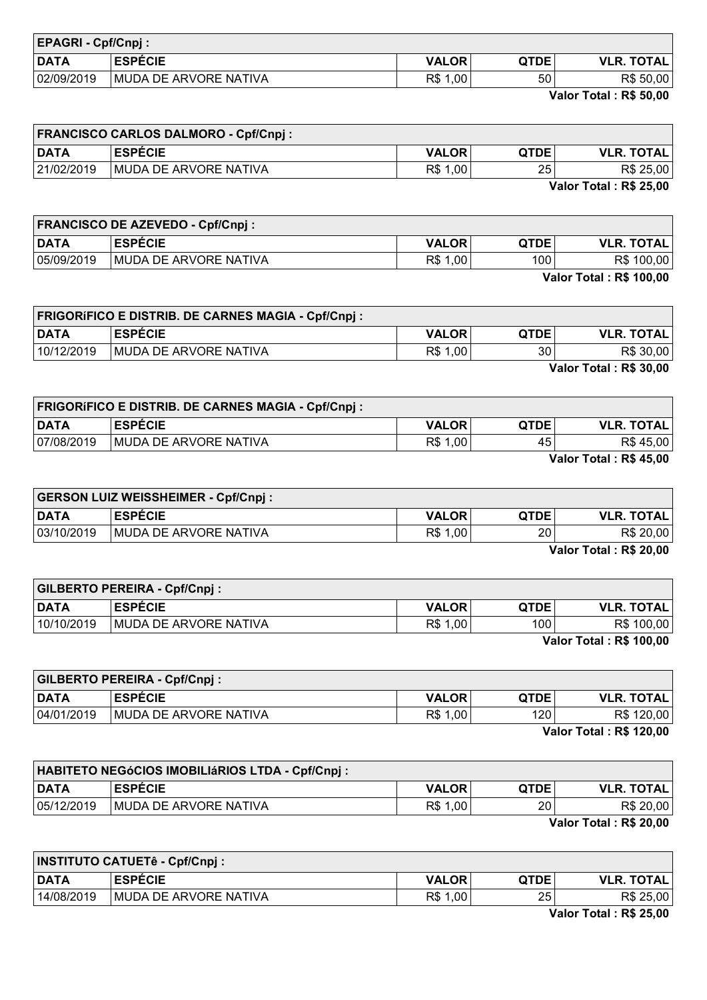| <b>EPAGRI - Cpf/Cnpj:</b> |                       |              |             |                   |
|---------------------------|-----------------------|--------------|-------------|-------------------|
| <b>DATA</b>               | <b>ESPECIE</b>        | <b>VALOR</b> | <b>QTDE</b> | <b>VLR. TOTAL</b> |
| 02/09/2019                | MUDA DE ARVORE NATIVA | 1,00<br>R\$  | 50          | R\$ 50,00         |

Valor Total : R\$ 50,00

| <b>FRANCISCO CARLOS DALMORO - Cpf/Cnpj :</b> |                               |              |                 |                   |
|----------------------------------------------|-------------------------------|--------------|-----------------|-------------------|
| <b>DATA</b>                                  | <b>ESPECIE</b>                | <b>VALOR</b> | <b>QTDE</b>     | <b>VLR. TOTAL</b> |
| 21/02/2019                                   | <b>IMUDA DE ARVORE NATIVA</b> | R\$ 1,00     | 25 <sub>1</sub> | R\$ 25,00         |
|                                              |                               |              |                 | _ _<br>.          |

Valor Total : R\$ 25,00

| <b>FRANCISCO DE AZEVEDO - Cpf/Cnpj:</b> |                       |              |             |                   |
|-----------------------------------------|-----------------------|--------------|-------------|-------------------|
| <b>DATA</b>                             | <b>ESPECIE</b>        | <b>VALOR</b> | <b>QTDE</b> | <b>VLR. TOTAL</b> |
| 05/09/2019                              | MUDA DE ARVORE NATIVA | R\$ 1,00     | 100         | R\$ 100,00        |
| <b>Valor Total: R\$ 100,00</b>          |                       |              |             |                   |

|             | <b>FRIGORÍFICO E DISTRIB. DE CARNES MAGIA - Cpf/Cnpj :</b> |              |             |                   |
|-------------|------------------------------------------------------------|--------------|-------------|-------------------|
| <b>DATA</b> | <b>ESPECIE</b>                                             | <b>VALOR</b> | <b>QTDE</b> | <b>VLR. TOTAL</b> |
| 10/12/2019  | MUDA DE ARVORE NATIVA                                      | R\$ 1,00     | 30          | R\$ 30,00         |
|             |                                                            |              |             | $\mathbf{V}$      |

Valor Total : R\$ 30,00

|             | <b>FRIGORÍFICO E DISTRIB. DE CARNES MAGIA - Cpf/Cnpj :</b> |              |      |                   |
|-------------|------------------------------------------------------------|--------------|------|-------------------|
| <b>DATA</b> | <b>ESPÉCIE</b>                                             | <b>VALOR</b> | QTDE | <b>VLR. TOTAL</b> |
| 07/08/2019  | <b>IMUDA DE ARVORE NATIVA</b>                              | R\$ 1,00     | 45   | R\$ 45,00         |
|             |                                                            |              |      | ---------         |

Valor Total : R\$ 45,00

| <b>GERSON LUIZ WEISSHEIMER - Cpf/Cnpj:</b> |                               |              |                 |                   |
|--------------------------------------------|-------------------------------|--------------|-----------------|-------------------|
| <b>DATA</b>                                | <b>ESPÉCIE</b>                | <b>VALOR</b> | <b>QTDE</b>     | <b>VLR. TOTAL</b> |
| 03/10/2019                                 | <b>IMUDA DE ARVORE NATIVA</b> | R\$ 1,00     | 20 <sub>1</sub> | R\$ 20,00         |
| Valor Total . DC 20 00                     |                               |              |                 |                   |

Valor Total : R\$ 20,00

| <b>GILBERTO PEREIRA - Cpf/Cnpj:</b> |                               |              |                  |                                                 |
|-------------------------------------|-------------------------------|--------------|------------------|-------------------------------------------------|
| <b>DATA</b>                         | <b>ESPECIE</b>                | <b>VALOR</b> | <b>QTDE</b>      | <b>VLR. TOTAL</b>                               |
| 10/10/2019                          | <b>IMUDA DE ARVORE NATIVA</b> | R\$ 1,00     | 100 <sub>1</sub> | R\$ 100,00                                      |
|                                     |                               |              |                  | $V_{\text{eff}}$ $\sim$ Tatal $\sim$ De 400.00. |

Valor Total : R\$ 100,00

 $\overline{\phantom{0}}$ 

| <b>GILBERTO PEREIRA - Cpf/Cnpj:</b> |                       |              |             |                                |
|-------------------------------------|-----------------------|--------------|-------------|--------------------------------|
| <b>DATA</b>                         | <b>ESPECIE</b>        | <b>VALOR</b> | <b>QTDE</b> | <b>VLR. TOTAL</b>              |
| 04/01/2019                          | MUDA DE ARVORE NATIVA | R\$ 1,00     | 120         | R\$ 120,00                     |
|                                     |                       |              |             | <b>Valor Total: R\$ 120,00</b> |

| <b>HABITETO NEGÓCIOS IMOBILIÁRIOS LTDA - Cpf/Cnpj:</b> |                       |              |             |                                                                        |
|--------------------------------------------------------|-----------------------|--------------|-------------|------------------------------------------------------------------------|
| <b>DATA</b>                                            | <b>ESPECIE</b>        | <b>VALOR</b> | <b>QTDE</b> | <b>VLR. TOTAL</b>                                                      |
| 05/12/2019                                             | MUDA DE ARVORE NATIVA | R\$ 1,00     | 20          | R\$ 20,00                                                              |
|                                                        |                       |              |             | $\mathbf{M} = \mathbf{I} \times \mathbf{I}$ is the set of $\mathbf{M}$ |

Valor Total : R\$ 20,00

|            | <b>INSTITUTO CATUETê - Cpf/Cnpj :</b> |              |             |                   |
|------------|---------------------------------------|--------------|-------------|-------------------|
| DATA       | <b>ESPECIE</b>                        | <b>VALOR</b> | <b>QTDE</b> | <b>VLR. TOTAL</b> |
| 14/08/2019 | MUDA DE ARVORE NATIVA                 | R\$ 1,00     | 25          | R\$ 25,00         |
|            |                                       |              |             | $-1 - -1$         |

Valor Total : R\$ 25,00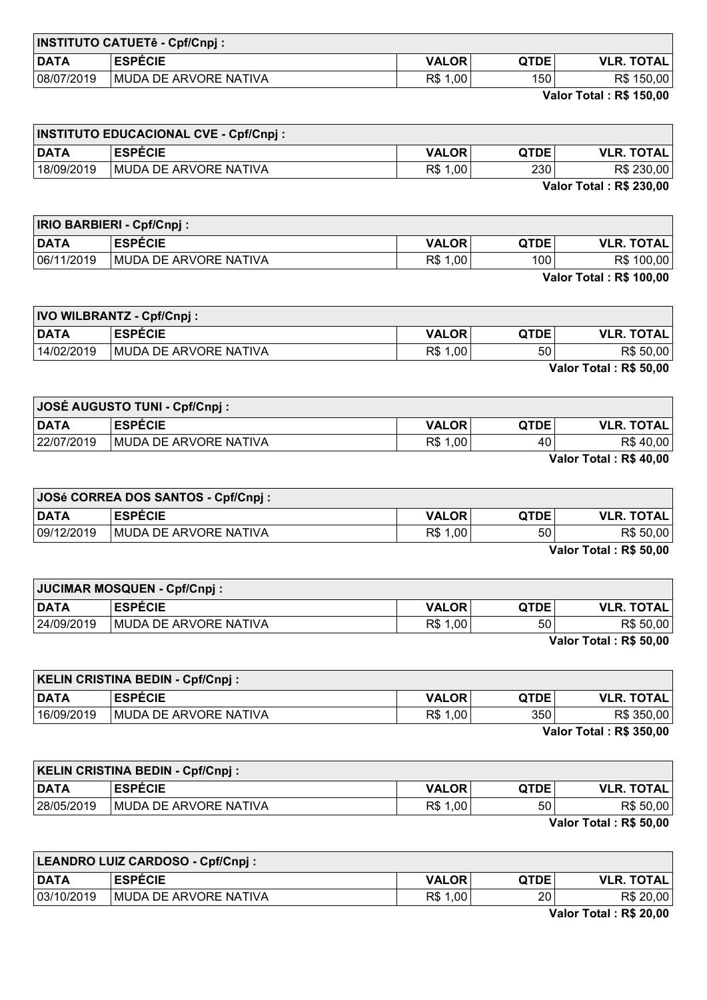| <b>INSTITUTO CATUETê - Cpf/Cnpj :</b> |                       |              |             |                   |
|---------------------------------------|-----------------------|--------------|-------------|-------------------|
| <b>DATA</b>                           | <b>ESPECIE</b>        | <b>VALOR</b> | <b>QTDE</b> | <b>VLR. TOTAL</b> |
| 08/07/2019                            | MUDA DE ARVORE NATIVA | R\$<br>1,00  | 150         | R\$ 150,00        |
|                                       |                       |              |             |                   |

Valor Total : R\$ 150,00

| <b>INSTITUTO EDUCACIONAL CVE - Cpf/Cnpj :</b> |                               |              |             |                   |
|-----------------------------------------------|-------------------------------|--------------|-------------|-------------------|
| <b>DATA</b>                                   | <b>ESPECIE</b>                | <b>VALOR</b> | <b>QTDE</b> | <b>VLR. TOTAL</b> |
| 18/09/2019                                    | <b>IMUDA DE ARVORE NATIVA</b> | R\$ 1,00     | 2301        | R\$ 230,00        |
|                                               |                               |              | .           | $        -$       |

Valor Total : R\$ 230,00

|             | <b>IRIO BARBIERI - Cpf/Cnpj:</b> |              |             |                                |
|-------------|----------------------------------|--------------|-------------|--------------------------------|
| <b>DATA</b> | <b>ESPECIE</b>                   | <b>VALOR</b> | <b>QTDE</b> | <b>VLR. TOTAL</b>              |
| 06/11/2019  | MUDA DE ARVORE NATIVA            | R\$ 1,00     | 100         | R\$ 100,00                     |
|             |                                  |              |             | <b>Valor Total: R\$ 100,00</b> |

IVO WILBRANTZ - Cpf/Cnpj :

| <b>DATA</b> | <b>ESPECIE</b>        | <b>VALOR</b> | <b>QTDE</b> | <b>VLR. TOTAL</b>             |
|-------------|-----------------------|--------------|-------------|-------------------------------|
| 14/02/2019  | MUDA DE ARVORE NATIVA | R\$<br>1,00  | 50          | R\$ 50,00                     |
|             |                       |              |             | <b>Valor Total: R\$ 50,00</b> |

| <b>JOSÉ AUGUSTO TUNI - Cpf/Cnpj:</b> |                               |              |             |                   |
|--------------------------------------|-------------------------------|--------------|-------------|-------------------|
| <b>DATA</b>                          | <b>ESPECIE</b>                | <b>VALOR</b> | <b>QTDE</b> | <b>VLR. TOTAL</b> |
| 22/07/2019                           | <b>IMUDA DE ARVORE NATIVA</b> | R\$ 1,00     | 40          | R\$ 40,00         |
|                                      |                               |              |             | _ _               |

Valor Total : R\$ 40,00

| JOSé CORREA DOS SANTOS - Cpf/Cnpj : |                               |              |             |                   |
|-------------------------------------|-------------------------------|--------------|-------------|-------------------|
| <b>DATA</b>                         | <b>ESPÉCIE</b>                | <b>VALOR</b> | <b>QTDE</b> | <b>VLR. TOTAL</b> |
| 09/12/2019                          | <b>IMUDA DE ARVORE NATIVA</b> | R\$ 1,00     | 50          | R\$ 50,00         |
| Volor Total . DC EQ 00              |                               |              |             |                   |

Valor Total : R\$ 50,00

| JUCIMAR MOSQUEN - Cpf/Cnpj: |                               |              |      |                        |
|-----------------------------|-------------------------------|--------------|------|------------------------|
| <b>DATA</b>                 | <b>ESPÉCIE</b>                | <b>VALOR</b> | QTDE | <b>VLR. TOTAL</b>      |
| 24/09/2019                  | <b>IMUDA DE ARVORE NATIVA</b> | R\$ 1,00     | 50   | R\$ 50,00              |
|                             |                               |              |      | Valor Total: R\$ 50,00 |

KELIN CRISTINA BEDIN - Cpf/Cnpj : DATA ESPÉCIE VALOR QTDE VLR. TOTAL 16/09/2019 MUDA DE ARVORE NATIVA R\$ 1,00 850 R\$ 350,00

Valor Total : R\$ 350,00

| <b>KELIN CRISTINA BEDIN - Cpf/Cnpj:</b> |                               |              |             |                                           |
|-----------------------------------------|-------------------------------|--------------|-------------|-------------------------------------------|
| <b>DATA</b>                             | <b>ESPECIE</b>                | <b>VALOR</b> | <b>QTDE</b> | <b>VLR. TOTAL</b>                         |
| 28/05/2019                              | <b>IMUDA DE ARVORE NATIVA</b> | R\$ 1,00     | 50          | R\$ 50,00                                 |
|                                         |                               |              |             | $V_{\rm min}$ $\tau_{\rm min}$ . De EA AA |

Valor Total : R\$ 50,00

| LEANDRO LUIZ CARDOSO - Cpf/Cnpj:               |                               |              |             |                   |
|------------------------------------------------|-------------------------------|--------------|-------------|-------------------|
| <b>DATA</b>                                    | <b>ESPECIE</b>                | <b>VALOR</b> | <b>QTDE</b> | <b>VLR. TOTAL</b> |
| 03/10/2019                                     | <b>IMUDA DE ARVORE NATIVA</b> | R\$<br>1,00  | 20          | R\$ 20,00         |
| $V_{\text{eff}}$ $\sim$ Telef $\sim$ De 00.00. |                               |              |             |                   |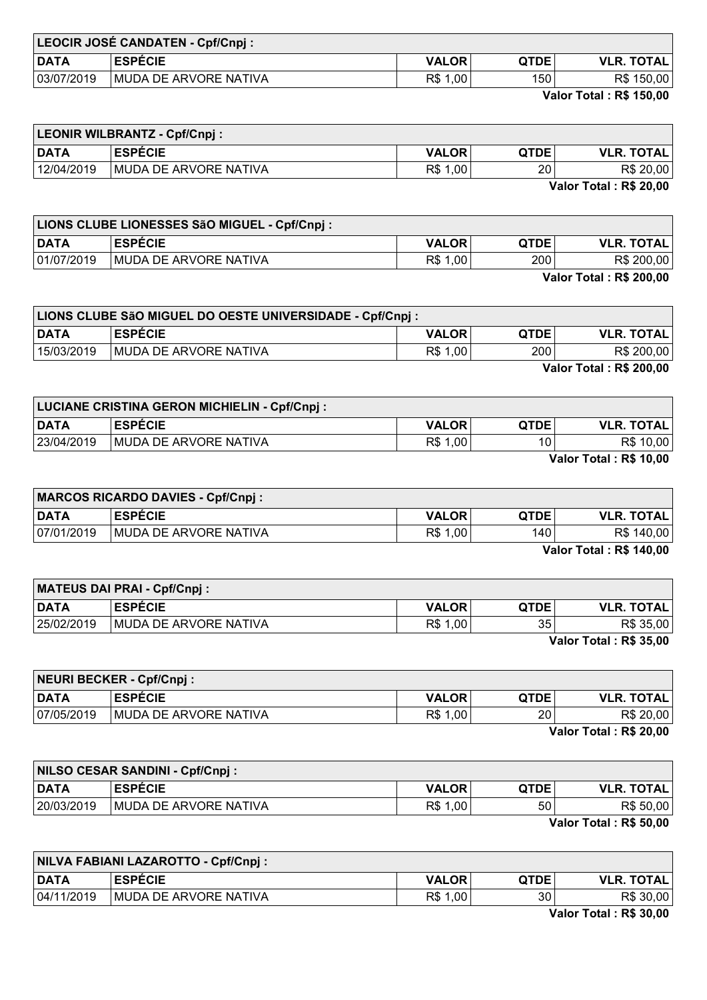| LEOCIR JOSÉ CANDATEN - Cpf/Cnpj : |                       |              |             |                   |
|-----------------------------------|-----------------------|--------------|-------------|-------------------|
| <b>DATA</b>                       | <b>ESPECIE</b>        | <b>VALOR</b> | <b>QTDE</b> | <b>VLR. TOTAL</b> |
| 03/07/2019                        | MUDA DE ARVORE NATIVA | R\$ 1,00     | 150         | R\$ 150,00        |

Valor Total : R\$ 150,00

| <b>LEONIR WILBRANTZ - Cpf/Cnpj:</b> |                       |              |             |                   |
|-------------------------------------|-----------------------|--------------|-------------|-------------------|
| <b>DATA</b>                         | <b>ESPECIE</b>        | <b>VALOR</b> | <b>QTDE</b> | <b>VLR. TOTAL</b> |
| 12/04/2019                          | MUDA DE ARVORE NATIVA | R\$ 1,00     | 20          | R\$ 20,00         |
|                                     |                       |              |             |                   |

Valor Total : R\$ 20,00

|                                | LIONS CLUBE LIONESSES SãO MIGUEL - Cpf/Cnpj : |              |             |                   |
|--------------------------------|-----------------------------------------------|--------------|-------------|-------------------|
| <b>DATA</b>                    | <b>ESPECIE</b>                                | <b>VALOR</b> | <b>QTDE</b> | <b>VLR. TOTAL</b> |
| 01/07/2019                     | <b>IMUDA DE ARVORE NATIVA</b>                 | R\$ 1,00     | 200         | R\$ 200,00        |
| <b>Valor Total: R\$ 200,00</b> |                                               |              |             |                   |

| LIONS CLUBE SãO MIGUEL DO OESTE UNIVERSIDADE - Cpf/Cnpj : |                               |              |             |                   |
|-----------------------------------------------------------|-------------------------------|--------------|-------------|-------------------|
| <b>DATA</b>                                               | <b>ESPECIE</b>                | <b>VALOR</b> | <b>QTDE</b> | <b>VLR. TOTAL</b> |
| 15/03/2019                                                | <b>IMUDA DE ARVORE NATIVA</b> | R\$ 1,00     | 200 l       | R\$ 200,00        |
| <b>Valor Total: R\$ 200,00</b>                            |                               |              |             |                   |

| <b>LUCIANE CRISTINA GERON MICHIELIN - Cpf/Cnpj:</b> |                       |              |             |                   |
|-----------------------------------------------------|-----------------------|--------------|-------------|-------------------|
| <b>DATA</b>                                         | <b>ESPECIE</b>        | <b>VALOR</b> | <b>QTDE</b> | <b>VLR. TOTAL</b> |
| 23/04/2019                                          | MUDA DE ARVORE NATIVA | R\$ 1,00     | 10          | R\$ 10,00         |
|                                                     |                       |              |             | ---------         |

Valor Total : R\$ 10,00

| <b>MARCOS RICARDO DAVIES - Cpf/Cnpj :</b> |                               |              |             |                   |
|-------------------------------------------|-------------------------------|--------------|-------------|-------------------|
| <b>DATA</b>                               | <b>ESPECIE</b>                | <b>VALOR</b> | <b>QTDE</b> | <b>VLR. TOTAL</b> |
| 07/01/2019                                | <b>IMUDA DE ARVORE NATIVA</b> | R\$ 1,00     | 140         | R\$ 140,00        |
| Valor Total . R& 140.00                   |                               |              |             |                   |

Valor Total : R\$ 140,00

| MATEUS DAI PRAI - Cpf/Cnpj : |                               |              |             |                               |
|------------------------------|-------------------------------|--------------|-------------|-------------------------------|
| <b>DATA</b>                  | <b>ESPECIE</b>                | <b>VALOR</b> | <b>QTDE</b> | <b>VLR. TOTAL,</b>            |
| 25/02/2019                   | <b>IMUDA DE ARVORE NATIVA</b> | R\$ 1,00     | 35          | R\$ 35,00                     |
|                              |                               |              |             | <b>Valor Total: R\$ 35,00</b> |

| NEURI BECKER - Cpf/Cnpj: |                                                                        |              |                 |                   |
|--------------------------|------------------------------------------------------------------------|--------------|-----------------|-------------------|
| <b>DATA</b>              | <b>ESPECIE</b>                                                         | <b>VALOR</b> | <b>QTDE</b>     | <b>VLR. TOTAL</b> |
| 07/05/2019               | <b>MUDA DE ARVORE NATIVA</b>                                           | R\$ 1,00     | 20 <sub>1</sub> | R\$ 20,00         |
|                          | $\mathbf{M} = \mathbf{I} \times \mathbf{I}$ is the set of $\mathbf{M}$ |              |                 |                   |

Valor Total : R\$ 20,00

| NILSO CESAR SANDINI - Cpf/Cnpj : |                        |              |      |                   |
|----------------------------------|------------------------|--------------|------|-------------------|
| <b>DATA</b>                      | <b>ESPÉCIE</b>         | <b>VALOR</b> | QTDE | <b>VLR. TOTAL</b> |
| 20/03/2019                       | IMUDA DE ARVORE NATIVA | R\$ 1,00     | 50   | R\$ 50,00         |
|                                  |                        |              |      | $\overline{V}$    |

Valor Total : R\$ 50,00

| NILVA FABIANI LAZAROTTO - Cpf/Cnpj : |                       |              |             |                                                                   |
|--------------------------------------|-----------------------|--------------|-------------|-------------------------------------------------------------------|
| DATA                                 | <b>ESPECIE</b>        | <b>VALOR</b> | <b>QTDE</b> | <b>VLR. TOTAL</b>                                                 |
| 04/11/2019                           | MUDA DE ARVORE NATIVA | R\$ 1,00     | 30          | R\$ 30,00                                                         |
|                                      |                       |              |             | $M_{\odot}$ , $\sim$ T $\sim$ $L_{\odot}$ ) . The case and $\sim$ |

Valor Total : R\$ 30,00